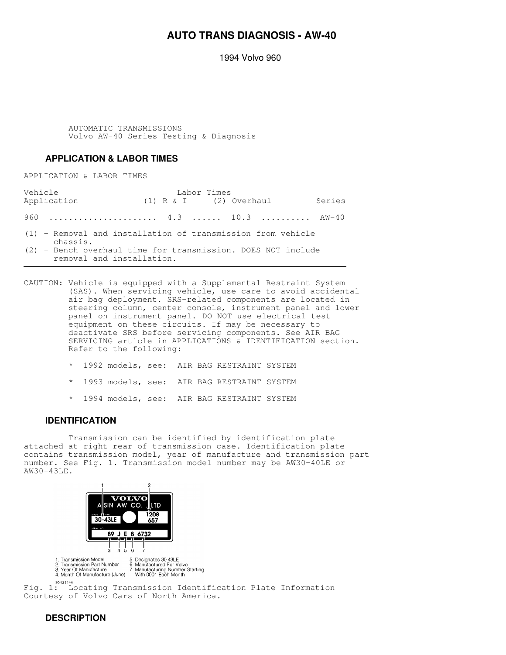# **AUTO TRANS DIAGNOSIS - AW-40**

1994 Volvo 960

 AUTOMATIC TRANSMISSIONS Volvo AW-40 Series Testing & Diagnosis

# **APPLICATION & LABOR TIMES**

APPLICATION & LABOR TIMES

| Vehicle<br>Application                                                                                                                                               | Labor Times | $(1)$ R & I $(2)$ Overhaul | Series |
|----------------------------------------------------------------------------------------------------------------------------------------------------------------------|-------------|----------------------------|--------|
| 960  4.3  10.3  AW-40                                                                                                                                                |             |                            |        |
| (1) - Removal and installation of transmission from vehicle<br>chassis.<br>(2) - Bench overhaul time for transmission. DOES NOT include<br>removal and installation. |             |                            |        |

- CAUTION: Vehicle is equipped with a Supplemental Restraint System (SAS). When servicing vehicle, use care to avoid accidental air bag deployment. SRS-related components are located in steering column, center console, instrument panel and lower panel on instrument panel. DO NOT use electrical test equipment on these circuits. If may be necessary to deactivate SRS before servicing components. See AIR BAG SERVICING article in APPLICATIONS & IDENTIFICATION section. Refer to the following:
	- \* 1992 models, see: AIR BAG RESTRAINT SYSTEM
	- \* 1993 models, see: AIR BAG RESTRAINT SYSTEM
	- \* 1994 models, see: AIR BAG RESTRAINT SYSTEM

# **IDENTIFICATION**

 Transmission can be identified by identification plate attached at right rear of transmission case. Identification plate contains transmission model, year of manufacture and transmission part number. See Fig. 1. Transmission model number may be AW30-40LE or AW30-43LE.



Courtesy of Volvo Cars of North America.

# **DESCRIPTION**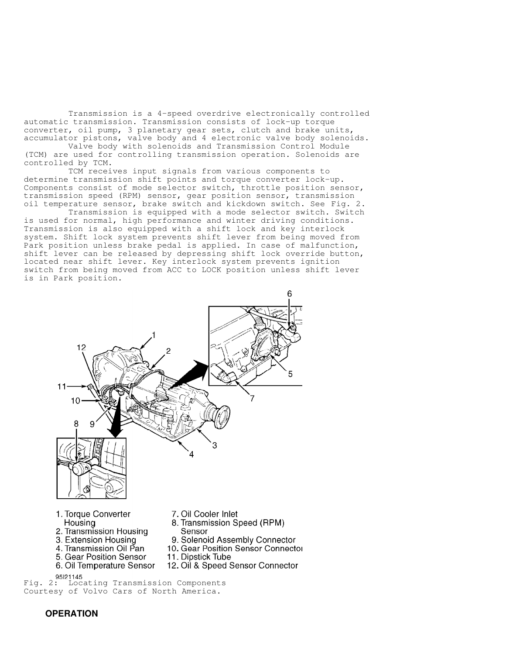Transmission is a 4-speed overdrive electronically controlled automatic transmission. Transmission consists of lock-up torque converter, oil pump, 3 planetary gear sets, clutch and brake units, accumulator pistons, valve body and 4 electronic valve body solenoids.

 Valve body with solenoids and Transmission Control Module (TCM) are used for controlling transmission operation. Solenoids are controlled by TCM.

 TCM receives input signals from various components to determine transmission shift points and torque converter lock-up. Components consist of mode selector switch, throttle position sensor, transmission speed (RPM) sensor, gear position sensor, transmission oil temperature sensor, brake switch and kickdown switch. See Fig. 2.

 Transmission is equipped with a mode selector switch. Switch is used for normal, high performance and winter driving conditions. Transmission is also equipped with a shift lock and key interlock system. Shift lock system prevents shift lever from being moved from Park position unless brake pedal is applied. In case of malfunction, shift lever can be released by depressing shift lock override button, located near shift lever. Key interlock system prevents ignition switch from being moved from ACC to LOCK position unless shift lever is in Park position.



- 1. Torque Converter Housing
- 2. Transmission Housing
- 3. Extension Housing
- 4. Transmission Oil Pan
- 5. Gear Position Sensor
- 6. Oil Temperature Sensor
- 7. Oil Cooler Inlet
- 8. Transmission Speed (RPM)
- Sensor
- 9. Solenoid Assembly Connector
- 10. Gear Position Sensor Connector
- 11. Dipstick Tube
- 12. Oil & Speed Sensor Connector

95121145<br>Fig. 2: Locating Transmission Components Courtesy of Volvo Cars of North America.

# **OPERATION**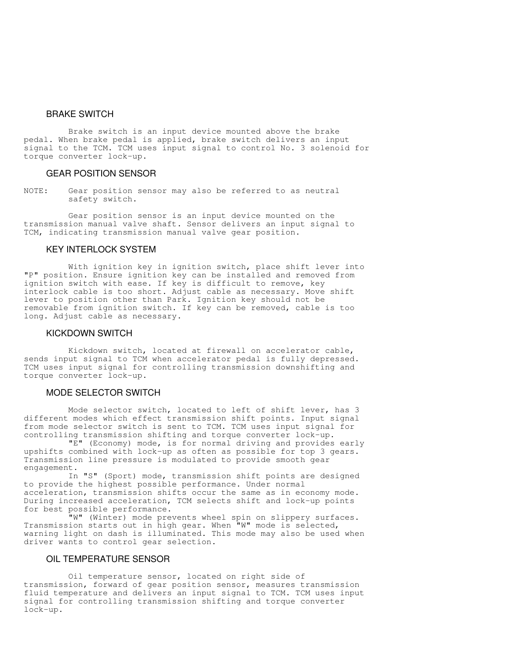## BRAKE SWITCH

 Brake switch is an input device mounted above the brake pedal. When brake pedal is applied, brake switch delivers an input signal to the TCM. TCM uses input signal to control No. 3 solenoid for torque converter lock-up.

## GEAR POSITION SENSOR

NOTE: Gear position sensor may also be referred to as neutral safety switch.

 Gear position sensor is an input device mounted on the transmission manual valve shaft. Sensor delivers an input signal to TCM, indicating transmission manual valve gear position.

#### KEY INTERLOCK SYSTEM

 With ignition key in ignition switch, place shift lever into "P" position. Ensure ignition key can be installed and removed from ignition switch with ease. If key is difficult to remove, key interlock cable is too short. Adjust cable as necessary. Move shift lever to position other than Park. Ignition key should not be removable from ignition switch. If key can be removed, cable is too long. Adjust cable as necessary.

### KICKDOWN SWITCH

 Kickdown switch, located at firewall on accelerator cable, sends input signal to TCM when accelerator pedal is fully depressed. TCM uses input signal for controlling transmission downshifting and torque converter lock-up.

#### MODE SELECTOR SWITCH

 Mode selector switch, located to left of shift lever, has 3 different modes which effect transmission shift points. Input signal from mode selector switch is sent to TCM. TCM uses input signal for controlling transmission shifting and torque converter lock-up.

 "E" (Economy) mode, is for normal driving and provides early upshifts combined with lock-up as often as possible for top 3 gears. Transmission line pressure is modulated to provide smooth gear engagement.

 In "S" (Sport) mode, transmission shift points are designed to provide the highest possible performance. Under normal acceleration, transmission shifts occur the same as in economy mode. During increased acceleration, TCM selects shift and lock-up points for best possible performance.

 "W" (Winter) mode prevents wheel spin on slippery surfaces. Transmission starts out in high gear. When "W" mode is selected, warning light on dash is illuminated. This mode may also be used when driver wants to control gear selection.

### OIL TEMPERATURE SENSOR

 Oil temperature sensor, located on right side of transmission, forward of gear position sensor, measures transmission fluid temperature and delivers an input signal to TCM. TCM uses input signal for controlling transmission shifting and torque converter lock-up.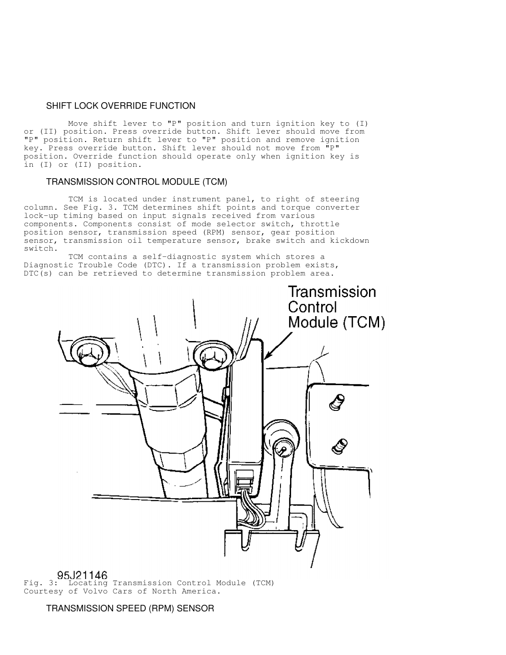# SHIFT LOCK OVERRIDE FUNCTION

 Move shift lever to "P" position and turn ignition key to (I) or (II) position. Press override button. Shift lever should move from "P" position. Return shift lever to "P" position and remove ignition key. Press override button. Shift lever should not move from "P" position. Override function should operate only when ignition key is in (I) or (II) position.

# TRANSMISSION CONTROL MODULE (TCM)

 TCM is located under instrument panel, to right of steering column. See Fig. 3. TCM determines shift points and torque converter lock-up timing based on input signals received from various components. Components consist of mode selector switch, throttle position sensor, transmission speed (RPM) sensor, gear position sensor, transmission oil temperature sensor, brake switch and kickdown switch.

 TCM contains a self-diagnostic system which stores a Diagnostic Trouble Code (DTC). If a transmission problem exists, DTC(s) can be retrieved to determine transmission problem area.



Fig. 3: Locating Transmission Control Module (TCM) Courtesy of Volvo Cars of North America.

TRANSMISSION SPEED (RPM) SENSOR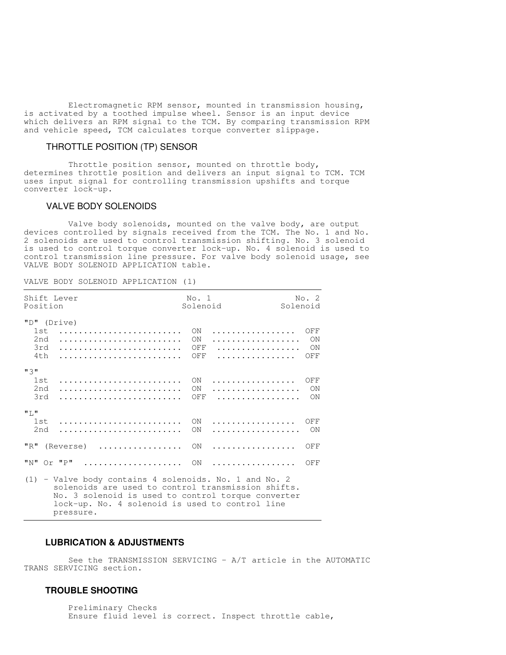Electromagnetic RPM sensor, mounted in transmission housing, is activated by a toothed impulse wheel. Sensor is an input device which delivers an RPM signal to the TCM. By comparing transmission RPM and vehicle speed, TCM calculates torque converter slippage.

# THROTTLE POSITION (TP) SENSOR

 Throttle position sensor, mounted on throttle body, determines throttle position and delivers an input signal to TCM. TCM uses input signal for controlling transmission upshifts and torque converter lock-up.

## VALVE BODY SOLENOIDS

 Valve body solenoids, mounted on the valve body, are output devices controlled by signals received from the TCM. The No. 1 and No. 2 solenoids are used to control transmission shifting. No. 3 solenoid is used to control torque converter lock-up. No. 4 solenoid is used to control transmission line pressure. For valve body solenoid usage, see VALVE BODY SOLENOID APPLICATION table.

| Shift Lever<br>No. 1<br>Position<br>Solenoid                                                                                                                                                                                         |                                            | No. 2<br>Solenoid      |
|--------------------------------------------------------------------------------------------------------------------------------------------------------------------------------------------------------------------------------------|--------------------------------------------|------------------------|
| " D "<br>(Drive)<br>1st.<br>2nd<br>3rd<br>4th                                                                                                                                                                                        | ON<br>.<br>ON<br>.<br>OFF<br>.<br>OFF<br>. | OFF<br>ON<br>ON<br>OFF |
| $\mathbf{u} \mathbf{u}$<br>1st.<br>2nd<br>3rd                                                                                                                                                                                        | ON.<br>.<br>ON.<br>.<br>OFF<br>.           | OFF<br>ON<br>ON        |
| $\mathbf{u}$ $\mathbf{v}$<br>lst<br>2nd                                                                                                                                                                                              | ON.<br>.<br>ON<br>.                        | OFF<br>ON              |
| "R"<br>(Reverse)<br>.                                                                                                                                                                                                                | ON.<br>.                                   | OFF                    |
| $"N"$ Or $"P"$                                                                                                                                                                                                                       | ON.<br>.                                   | OFF                    |
| $(1)$ - Valve body contains 4 solenoids. No. 1 and No. 2<br>solenoids are used to control transmission shifts.<br>No. 3 solenoid is used to control torque converter<br>lock-up. No. 4 solenoid is used to control line<br>pressure. |                                            |                        |

VALVE BODY SOLENOID APPLICATION (1)

# **LUBRICATION & ADJUSTMENTS**

 See the TRANSMISSION SERVICING - A/T article in the AUTOMATIC TRANS SERVICING section.

## **TROUBLE SHOOTING**

 Preliminary Checks Ensure fluid level is correct. Inspect throttle cable,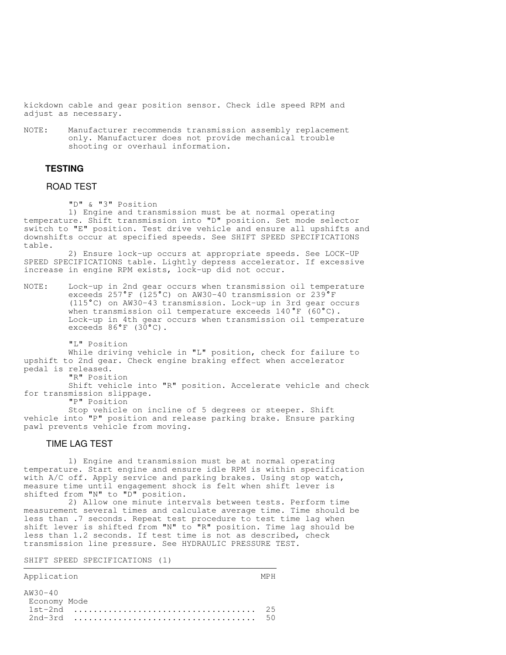kickdown cable and gear position sensor. Check idle speed RPM and adjust as necessary.

NOTE: Manufacturer recommends transmission assembly replacement only. Manufacturer does not provide mechanical trouble shooting or overhaul information.

# **TESTING**

# ROAD TEST

"D" & "3" Position

 1) Engine and transmission must be at normal operating temperature. Shift transmission into "D" position. Set mode selector switch to "E" position. Test drive vehicle and ensure all upshifts and downshifts occur at specified speeds. See SHIFT SPEED SPECIFICATIONS table.

 2) Ensure lock-up occurs at appropriate speeds. See LOCK-UP SPEED SPECIFICATIONS table. Lightly depress accelerator. If excessive increase in engine RPM exists, lock-up did not occur.

NOTE: Lock-up in 2nd gear occurs when transmission oil temperature exceeds  $257^{\circ}$ F (125°C) on AW30-40 transmission or 239°F (115°C) on AW30-43 transmission. Lock-up in 3rd gear occurs when transmission oil temperature exceeds  $140\degree$ F (60°C). Lock-up in 4th gear occurs when transmission oil temperature  $exceeds 86°F (30°C)$ .

 "L" Position While driving vehicle in "L" position, check for failure to upshift to 2nd gear. Check engine braking effect when accelerator pedal is released. "R" Position Shift vehicle into "R" position. Accelerate vehicle and check for transmission slippage.

"P" Position

 Stop vehicle on incline of 5 degrees or steeper. Shift vehicle into "P" position and release parking brake. Ensure parking pawl prevents vehicle from moving.

# TIME LAG TEST

 1) Engine and transmission must be at normal operating temperature. Start engine and ensure idle RPM is within specification with A/C off. Apply service and parking brakes. Using stop watch, measure time until engagement shock is felt when shift lever is shifted from "N" to "D" position.

 2) Allow one minute intervals between tests. Perform time measurement several times and calculate average time. Time should be less than .7 seconds. Repeat test procedure to test time lag when shift lever is shifted from "N" to "R" position. Time lag should be less than 1.2 seconds. If test time is not as described, check transmission line pressure. See HYDRAULIC PRESSURE TEST.

SHIFT SPEED SPECIFICATIONS (1)

Application MPH

 $7720 - 40$ 

| AW.3U-4U     |  |
|--------------|--|
| Economy Mode |  |
|              |  |
|              |  |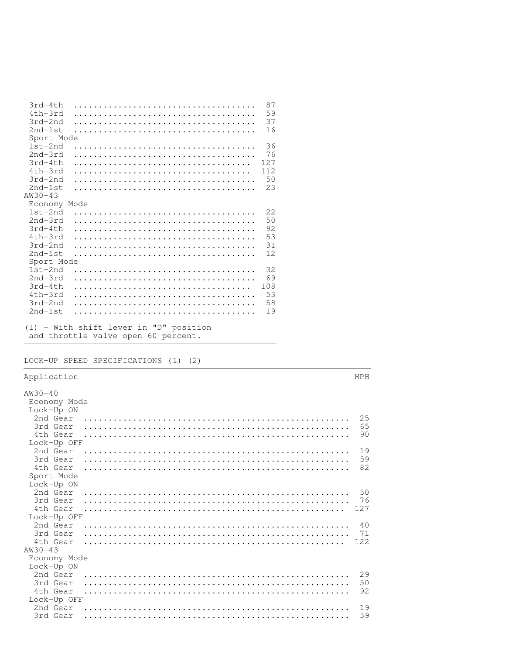| $3rd-4th$<br>$4th-3rd$<br>$3rd-2nd$<br>$2nd-1st$<br>Sport Mode                                           |  |  |  | 87<br>59<br>37<br>16               |
|----------------------------------------------------------------------------------------------------------|--|--|--|------------------------------------|
| $1st-2nd$<br>$2nd-3rd$<br>$3rd-4th$<br>$4th-3rd$<br>$3rd-2nd$<br>$2nd-1st$<br>$AW30 - 43$                |  |  |  | 36<br>76<br>127<br>112<br>50<br>23 |
| Economy Mode<br>$1st-2nd$<br>$2nd-3rd$<br>$3rd-4th$<br>$4th-3rd$<br>$3rd-2nd$<br>$2nd-1st$<br>Sport Mode |  |  |  | 2.2<br>50<br>92<br>53<br>31<br>12  |
| $1st-2nd$<br>$2nd-3rd$<br>$3rd-4th$<br>$4th-3rd$<br>$3rd-2nd$<br>$2nd-1st$                               |  |  |  | 32<br>69<br>108<br>53<br>58<br>19  |

 $(1)$  - With shift lever in "D" position and throttle valve open 60 percent.

LOCK-UP SPEED SPECIFICATIONS (1) (2)

#### Application

3rd Gear

 $AW30 - 40$ Economy Mode Lock-Up ON 2nd Gear 3rd Gear 4th Gear Lock-Up OFF 3rd Gear 4th Gear Sport Mode Lock-Up ON 2nd Gear 3rd Gear 4th Gear Lock-Up OFF 2nd Gear 3rd Gear 4th Gear  $AW30 - 43$ Economy Mode Lock-Up ON 2nd Gear **Service** 3rd Gear 4th Gear Lock-Up OFF 2nd Gear 

 $\mathop{\rm M\mskip-4mu P}$  H

25

65

90

19

59

82

50

76

40

71

29

50

92

19

59

122

127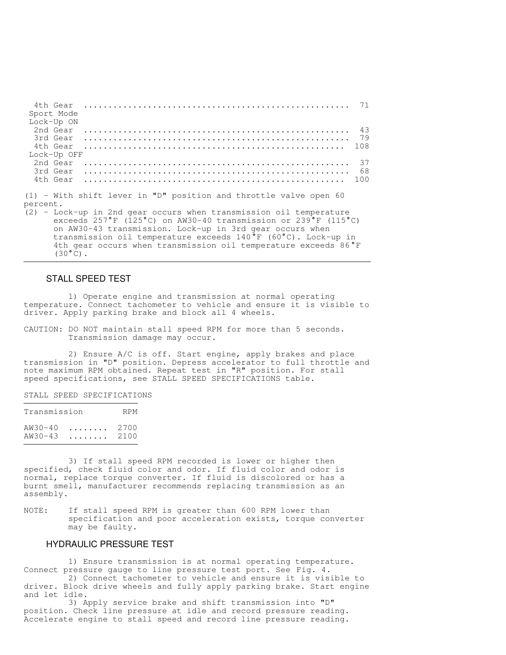| 4th Gear          |                                                                                                                                                                                                                                                                                                                                                | 71  |
|-------------------|------------------------------------------------------------------------------------------------------------------------------------------------------------------------------------------------------------------------------------------------------------------------------------------------------------------------------------------------|-----|
| Sport Mode        |                                                                                                                                                                                                                                                                                                                                                |     |
| Lock-Up ON        |                                                                                                                                                                                                                                                                                                                                                |     |
| 2nd Gear          |                                                                                                                                                                                                                                                                                                                                                | 43  |
| 3rd Gear          |                                                                                                                                                                                                                                                                                                                                                | 79  |
| 4th Gear          |                                                                                                                                                                                                                                                                                                                                                | 108 |
| Lock-Up OFF       |                                                                                                                                                                                                                                                                                                                                                |     |
| 2nd Gear          |                                                                                                                                                                                                                                                                                                                                                | 37  |
| 3rd Gear          |                                                                                                                                                                                                                                                                                                                                                | 68  |
| 4th Gear          |                                                                                                                                                                                                                                                                                                                                                | 100 |
|                   | $(1)$ - With shift lever in "D" position and throttle valve open 60                                                                                                                                                                                                                                                                            |     |
| percent.          |                                                                                                                                                                                                                                                                                                                                                |     |
| $(30^{\circ}$ C). | $(2)$ - Lock-up in 2nd gear occurs when transmission oil temperature<br>exceeds $257^{\circ}F$ (125°C) on AW30-40 transmission or 239°F (115°C)<br>on AW30-43 transmission. Lock-up in 3rd gear occurs when<br>transmission oil temperature exceeds 140°F (60°C). Lock-up in<br>4th gear occurs when transmission oil temperature exceeds 86°F |     |

#### STALL SPEED TEST

 1) Operate engine and transmission at normal operating temperature. Connect tachometer to vehicle and ensure it is visible to driver. Apply parking brake and block all 4 wheels.

CAUTION: DO NOT maintain stall speed RPM for more than 5 seconds. Transmission damage may occur.

 2) Ensure A/C is off. Start engine, apply brakes and place transmission in "D" position. Depress accelerator to full throttle and note maximum RPM obtained. Repeat test in "R" position. For stall speed specifications, see STALL SPEED SPECIFICATIONS table.

STALL SPEED SPECIFICATIONS

the contract of the contract of the contract of the contract of the contract of the contract of the contract of the contract of the contract of the contract of the contract of the contract of the contract of the contract o

the contract of the contract of the contract of the contract of the contract of the contract of the contract of

| Transmission |   | <b>RPM</b> |
|--------------|---|------------|
| $AW30 - 40$  | . | 2700       |
| $AW30 - 43$  | . | 2100       |

 3) If stall speed RPM recorded is lower or higher then specified, check fluid color and odor. If fluid color and odor is normal, replace torque converter. If fluid is discolored or has a burnt smell, manufacturer recommends replacing transmission as an assembly.

NOTE: If stall speed RPM is greater than 600 RPM lower than specification and poor acceleration exists, torque converter may be faulty.

#### HYDRAULIC PRESSURE TEST

 1) Ensure transmission is at normal operating temperature. Connect pressure gauge to line pressure test port. See Fig. 4. 2) Connect tachometer to vehicle and ensure it is visible to driver. Block drive wheels and fully apply parking brake. Start engine and let idle.

 3) Apply service brake and shift transmission into "D" position. Check line pressure at idle and record pressure reading. Accelerate engine to stall speed and record line pressure reading.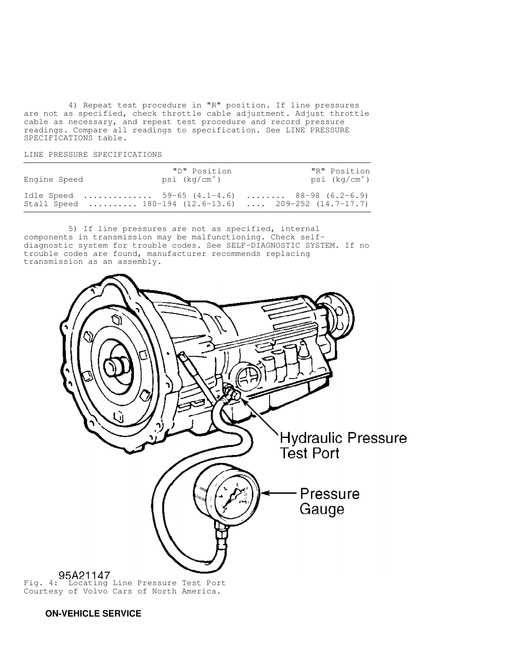4) Repeat test procedure in "R" position. If line pressures are not as specified, check throttle cable adjustment. Adjust throttle cable as necessary, and repeat test procedure and record pressure readings. Compare all readings to specification. See LINE PRESSURE SPECIFICATIONS table.

## LINE PRESSURE SPECIFICATIONS

| Engine Speed                                                                                             | "D" Position<br>psi (kq/cm²) | "R" Position<br>psi (kg/cm²) |
|----------------------------------------------------------------------------------------------------------|------------------------------|------------------------------|
| Idle Speed  59-65 $(4.1-4.6)$ 88-98 $(6.2-6.9)$<br>Stall Speed  180-194 (12.6-13.6)  209-252 (14.7-17.7) |                              |                              |

 5) If line pressures are not as specified, internal components in transmission may be malfunctioning. Check selfdiagnostic system for trouble codes. See SELF-DIAGNOSTIC SYSTEM. If no trouble codes are found, manufacturer recommends replacing transmission as an assembly.



 **ON-VEHICLE SERVICE**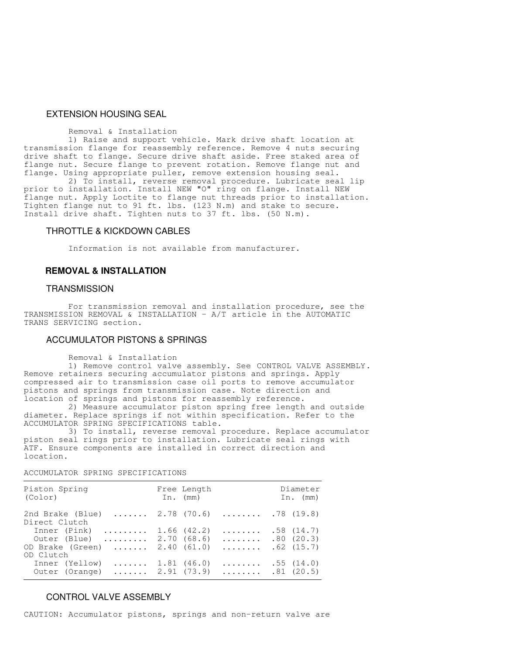## EXTENSION HOUSING SEAL

Removal & Installation

 1) Raise and support vehicle. Mark drive shaft location at transmission flange for reassembly reference. Remove 4 nuts securing drive shaft to flange. Secure drive shaft aside. Free staked area of flange nut. Secure flange to prevent rotation. Remove flange nut and flange. Using appropriate puller, remove extension housing seal.

 2) To install, reverse removal procedure. Lubricate seal lip prior to installation. Install NEW "O" ring on flange. Install NEW flange nut. Apply Loctite to flange nut threads prior to installation. Tighten flange nut to 91 ft. lbs. (123 N.m) and stake to secure. Install drive shaft. Tighten nuts to 37 ft. lbs. (50 N.m).

## THROTTLE & KICKDOWN CABLES

Information is not available from manufacturer.

# **REMOVAL & INSTALLATION**

#### **TRANSMISSION**

 For transmission removal and installation procedure, see the TRANSMISSION REMOVAL & INSTALLATION - A/T article in the AUTOMATIC TRANS SERVICING section.

## ACCUMULATOR PISTONS & SPRINGS

Removal & Installation

 1) Remove control valve assembly. See CONTROL VALVE ASSEMBLY. Remove retainers securing accumulator pistons and springs. Apply compressed air to transmission case oil ports to remove accumulator pistons and springs from transmission case. Note direction and location of springs and pistons for reassembly reference. 2) Measure accumulator piston spring free length and outside

diameter. Replace springs if not within specification. Refer to the ACCUMULATOR SPRING SPECIFICATIONS table.

 3) To install, reverse removal procedure. Replace accumulator piston seal rings prior to installation. Lubricate seal rings with ATF. Ensure components are installed in correct direction and location.

|--|

ACCUMULATOR SPRING SPECIFICATIONS

| Piston Spring<br>(Color)                                                                                         | Free Length Theory<br>In. $(mm)$ | Diameter<br>$In.$ (mm)                                                                         |
|------------------------------------------------------------------------------------------------------------------|----------------------------------|------------------------------------------------------------------------------------------------|
| 2nd Brake (Blue)  2.78 (70.6)  .78 (19.8)<br>Direct Clutch                                                       |                                  |                                                                                                |
| Inner (Pink)  1.66 (42.2)<br>Outer (Blue)  2.70 (68.6)<br>OD Brake (Green)  2.40 (61.0)  .62 (15.7)<br>OD Clutch |                                  | $\ldots \ldots \ldots \quad .58 \quad (14.7)$<br>$\ldots \ldots \ldots \quad .80 \quad (20.3)$ |
| Inner (Yellow)  1.81 (46.0)  .55 (14.0)<br>Outer (Orange)  2.91 (73.9)  .81 (20.5)                               |                                  |                                                                                                |

# CONTROL VALVE ASSEMBLY

CAUTION: Accumulator pistons, springs and non-return valve are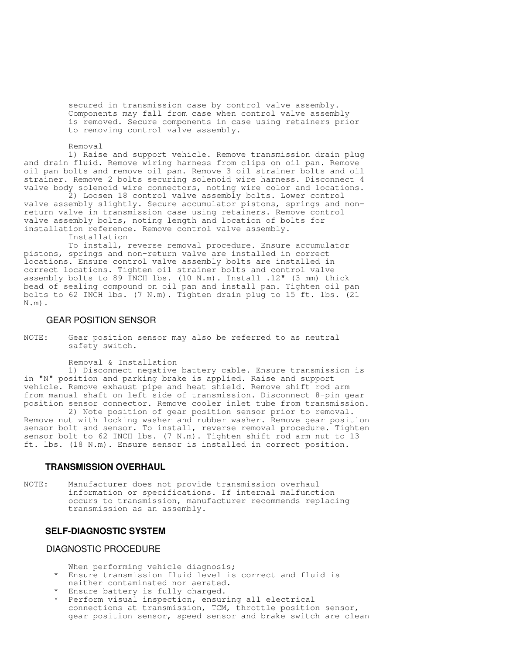secured in transmission case by control valve assembly. Components may fall from case when control valve assembly is removed. Secure components in case using retainers prior to removing control valve assembly.

#### Removal

 1) Raise and support vehicle. Remove transmission drain plug and drain fluid. Remove wiring harness from clips on oil pan. Remove oil pan bolts and remove oil pan. Remove 3 oil strainer bolts and oil strainer. Remove 2 bolts securing solenoid wire harness. Disconnect 4 valve body solenoid wire connectors, noting wire color and locations.

 2) Loosen 18 control valve assembly bolts. Lower control valve assembly slightly. Secure accumulator pistons, springs and nonreturn valve in transmission case using retainers. Remove control valve assembly bolts, noting length and location of bolts for installation reference. Remove control valve assembly.

Installation

 To install, reverse removal procedure. Ensure accumulator pistons, springs and non-return valve are installed in correct locations. Ensure control valve assembly bolts are installed in correct locations. Tighten oil strainer bolts and control valve assembly bolts to 89 INCH lbs. (10 N.m). Install .12" (3 mm) thick bead of sealing compound on oil pan and install pan. Tighten oil pan bolts to 62 INCH lbs. (7 N.m). Tighten drain plug to 15 ft. lbs. (21  $N.m$ ).

## GEAR POSITION SENSOR

NOTE: Gear position sensor may also be referred to as neutral safety switch.

Removal & Installation

 1) Disconnect negative battery cable. Ensure transmission is in "N" position and parking brake is applied. Raise and support vehicle. Remove exhaust pipe and heat shield. Remove shift rod arm from manual shaft on left side of transmission. Disconnect 8-pin gear position sensor connector. Remove cooler inlet tube from transmission.

 2) Note position of gear position sensor prior to removal. Remove nut with locking washer and rubber washer. Remove gear position sensor bolt and sensor. To install, reverse removal procedure. Tighten sensor bolt to 62 INCH lbs. (7 N.m). Tighten shift rod arm nut to 13 ft. lbs. (18 N.m). Ensure sensor is installed in correct position.

#### **TRANSMISSION OVERHAUL**

NOTE: Manufacturer does not provide transmission overhaul information or specifications. If internal malfunction occurs to transmission, manufacturer recommends replacing transmission as an assembly.

## **SELF-DIAGNOSTIC SYSTEM**

### DIAGNOSTIC PROCEDURE

When performing vehicle diagnosis;

- \* Ensure transmission fluid level is correct and fluid is neither contaminated nor aerated.
- Ensure battery is fully charged.
- \* Perform visual inspection, ensuring all electrical connections at transmission, TCM, throttle position sensor, gear position sensor, speed sensor and brake switch are clean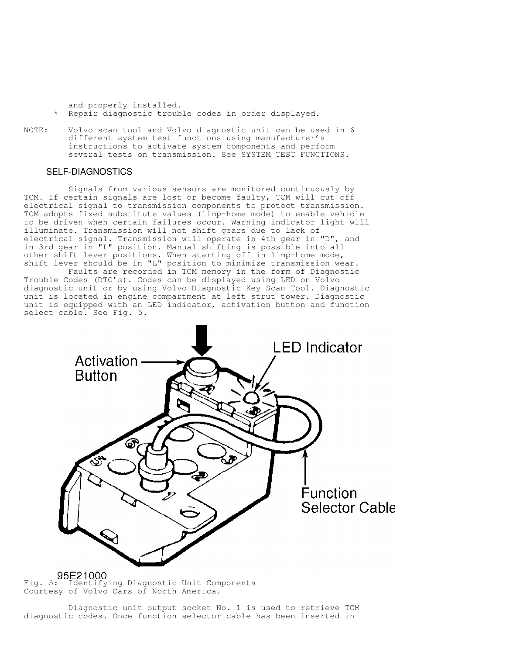and properly installed.

- Repair diagnostic trouble codes in order displayed.
- NOTE: Volvo scan tool and Volvo diagnostic unit can be used in 6 different system test functions using manufacturer's instructions to activate system components and perform several tests on transmission. See SYSTEM TEST FUNCTIONS.

## SELF-DIAGNOSTICS

 Signals from various sensors are monitored continuously by TCM. If certain signals are lost or become faulty, TCM will cut off electrical signal to transmission components to protect transmission. TCM adopts fixed substitute values (limp-home mode) to enable vehicle to be driven when certain failures occur. Warning indicator light will illuminate. Transmission will not shift gears due to lack of electrical signal. Transmission will operate in 4th gear in "D", and in 3rd gear in "L" position. Manual shifting is possible into all other shift lever positions. When starting off in limp-home mode, shift lever should be in "L" position to minimize transmission wear.

 Faults are recorded in TCM memory in the form of Diagnostic Trouble Codes (DTC's). Codes can be displayed using LED on Volvo diagnostic unit or by using Volvo Diagnostic Key Scan Tool. Diagnostic unit is located in engine compartment at left strut tower. Diagnostic unit is equipped with an LED indicator, activation button and function select cable. See Fig. 5.



Fig. 5: Identifying Diagnostic Unit Components Courtesy of Volvo Cars of North America.

 Diagnostic unit output socket No. 1 is used to retrieve TCM diagnostic codes. Once function selector cable has been inserted in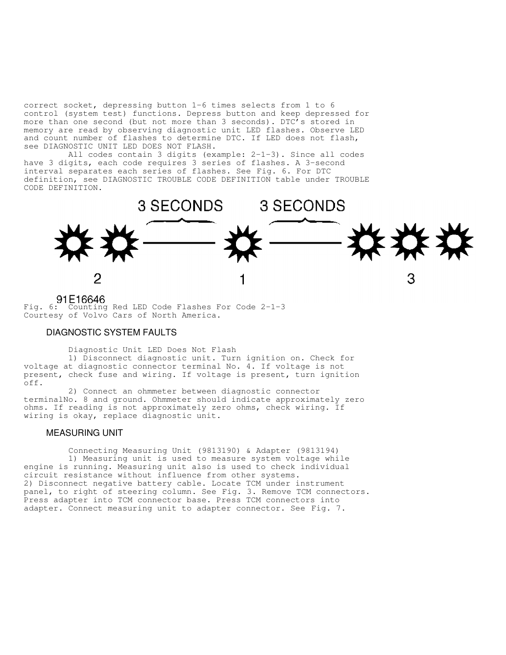correct socket, depressing button 1-6 times selects from 1 to 6 control (system test) functions. Depress button and keep depressed for more than one second (but not more than 3 seconds). DTC's stored in memory are read by observing diagnostic unit LED flashes. Observe LED and count number of flashes to determine DTC. If LED does not flash, see DIAGNOSTIC UNIT LED DOES NOT FLASH.

 All codes contain 3 digits (example: 2-1-3). Since all codes have 3 digits, each code requires 3 series of flashes. A 3-second interval separates each series of flashes. See Fig. 6. For DTC definition, see DIAGNOSTIC TROUBLE CODE DEFINITION table under TROUBLE CODE DEFINITION.



91E16646<br>Fig. 6: Counting Red LED Code Flashes For Code 2-1-3 Courtesy of Volvo Cars of North America.

# DIAGNOSTIC SYSTEM FAULTS

Diagnostic Unit LED Does Not Flash

 1) Disconnect diagnostic unit. Turn ignition on. Check for voltage at diagnostic connector terminal No. 4. If voltage is not present, check fuse and wiring. If voltage is present, turn ignition off.

 2) Connect an ohmmeter between diagnostic connector terminalNo. 8 and ground. Ohmmeter should indicate approximately zero ohms. If reading is not approximately zero ohms, check wiring. If wiring is okay, replace diagnostic unit.

#### MEASURING UNIT

 Connecting Measuring Unit (9813190) & Adapter (9813194) 1) Measuring unit is used to measure system voltage while engine is running. Measuring unit also is used to check individual circuit resistance without influence from other systems. 2) Disconnect negative battery cable. Locate TCM under instrument panel, to right of steering column. See Fig. 3. Remove TCM connectors. Press adapter into TCM connector base. Press TCM connectors into adapter. Connect measuring unit to adapter connector. See Fig. 7.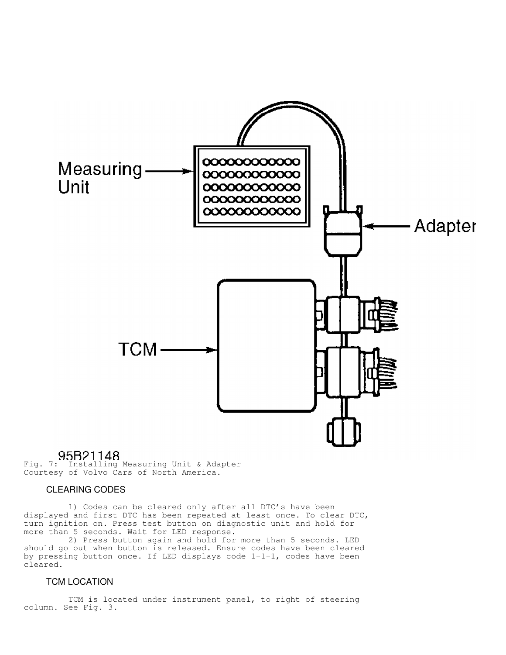

Fig. 7: Installing Measuring Unit & Adapter Courtesy of Volvo Cars of North America.

# CLEARING CODES

 1) Codes can be cleared only after all DTC's have been displayed and first DTC has been repeated at least once. To clear DTC, turn ignition on. Press test button on diagnostic unit and hold for more than 5 seconds. Wait for LED response.

 2) Press button again and hold for more than 5 seconds. LED should go out when button is released. Ensure codes have been cleared by pressing button once. If LED displays code  $1-1-1$ , codes have been cleared.

# **TCM LOCATION**

 TCM is located under instrument panel, to right of steering column. See Fig. 3.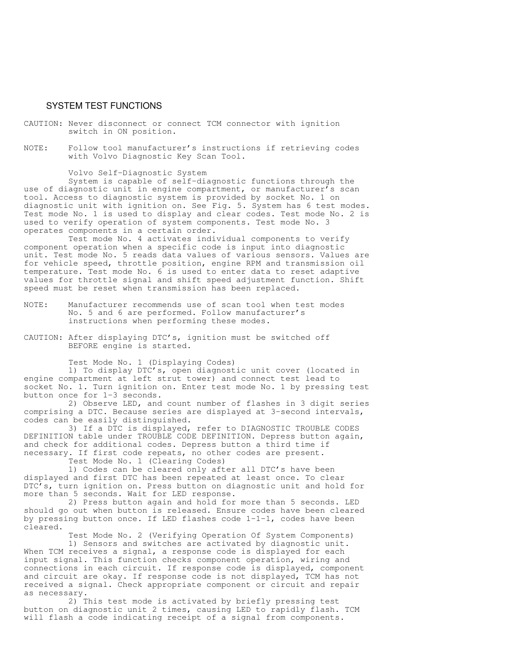# SYSTEM TEST FUNCTIONS

CAUTION: Never disconnect or connect TCM connector with ignition switch in ON position.

NOTE: Follow tool manufacturer's instructions if retrieving codes with Volvo Diagnostic Key Scan Tool.

Volvo Self-Diagnostic System

 System is capable of self-diagnostic functions through the use of diagnostic unit in engine compartment, or manufacturer's scan tool. Access to diagnostic system is provided by socket No. 1 on diagnostic unit with ignition on. See Fig. 5. System has 6 test modes. Test mode No. 1 is used to display and clear codes. Test mode No. 2 is used to verify operation of system components. Test mode No. 3 operates components in a certain order.

 Test mode No. 4 activates individual components to verify component operation when a specific code is input into diagnostic unit. Test mode No. 5 reads data values of various sensors. Values are for vehicle speed, throttle position, engine RPM and transmission oil temperature. Test mode No. 6 is used to enter data to reset adaptive values for throttle signal and shift speed adjustment function. Shift speed must be reset when transmission has been replaced.

- NOTE: Manufacturer recommends use of scan tool when test modes No. 5 and 6 are performed. Follow manufacturer's instructions when performing these modes.
- CAUTION: After displaying DTC's, ignition must be switched off BEFORE engine is started.

Test Mode No. 1 (Displaying Codes)

 1) To display DTC's, open diagnostic unit cover (located in engine compartment at left strut tower) and connect test lead to socket No. 1. Turn ignition on. Enter test mode No. 1 by pressing test button once for 1-3 seconds.

 2) Observe LED, and count number of flashes in 3 digit series comprising a DTC. Because series are displayed at 3-second intervals, codes can be easily distinguished.

 3) If a DTC is displayed, refer to DIAGNOSTIC TROUBLE CODES DEFINITION table under TROUBLE CODE DEFINITION. Depress button again, and check for additional codes. Depress button a third time if necessary. If first code repeats, no other codes are present. Test Mode No. 1 (Clearing Codes)

 1) Codes can be cleared only after all DTC's have been displayed and first DTC has been repeated at least once. To clear DTC's, turn ignition on. Press button on diagnostic unit and hold for more than 5 seconds. Wait for LED response.

 2) Press button again and hold for more than 5 seconds. LED should go out when button is released. Ensure codes have been cleared by pressing button once. If LED flashes code 1-1-1, codes have been cleared.

 Test Mode No. 2 (Verifying Operation Of System Components) 1) Sensors and switches are activated by diagnostic unit. When TCM receives a signal, a response code is displayed for each input signal. This function checks component operation, wiring and connections in each circuit. If response code is displayed, component and circuit are okay. If response code is not displayed, TCM has not received a signal. Check appropriate component or circuit and repair as necessary.

 2) This test mode is activated by briefly pressing test button on diagnostic unit 2 times, causing LED to rapidly flash. TCM will flash a code indicating receipt of a signal from components.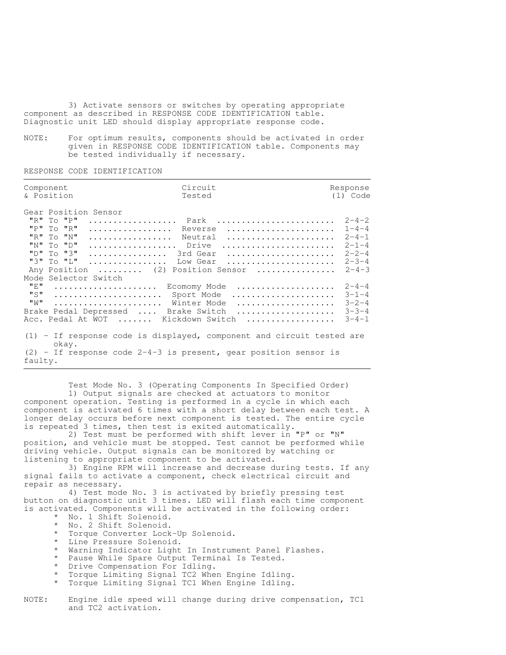3) Activate sensors or switches by operating appropriate component as described in RESPONSE CODE IDENTIFICATION table. Diagnostic unit LED should display appropriate response code.

NOTE: For optimum results, components should be activated in order given in RESPONSE CODE IDENTIFICATION table. Components may be tested individually if necessary.

RESPONSE CODE IDENTIFICATION

| Component<br>& Position                                                                                                                         | Circuit<br>Tested                                                                                                                                                                                                                   | Response<br>$(1)$ Code                                                                                                                                                                |
|-------------------------------------------------------------------------------------------------------------------------------------------------|-------------------------------------------------------------------------------------------------------------------------------------------------------------------------------------------------------------------------------------|---------------------------------------------------------------------------------------------------------------------------------------------------------------------------------------|
| Gear Position Sensor<br>$"R"$ to $"P"$<br>$"P"$ To $"R"$<br>"R" To "N"<br>"N" To "D"<br>"D" To "3"<br>Mode Selector Switch<br>"E"<br>"S"<br>"W" | Reverse<br>Neutral<br>Drive<br>3rd Gear<br>.<br>"3" To "L"  Low Gear<br>Any Position  (2) Position Sensor<br>Ecomomy Mode<br>Sport Mode<br>Winter Mode<br>Brake Pedal Depressed  Brake Switch<br>Acc. Pedal At WOT  Kickdown Switch | $2 - 4 - 2$<br>$1 - 4 - 4$<br>$2 - 4 - 1$<br>$2 - 1 - 4$<br>$2 - 2 - 4$<br>$2 - 3 - 4$<br>$2 - 4 - 3$<br>$2 - 4 - 4$<br>$3 - 1 - 4$<br>$3 - 2 - 4$<br>$3 - 3 - 4$<br>$3 - 4 - 1$<br>. |
| okay.<br>faulty.                                                                                                                                | $(1)$ - If response code is displayed, component and circuit tested are<br>$(2)$ - If response code 2-4-3 is present, gear position sensor is                                                                                       |                                                                                                                                                                                       |

 Test Mode No. 3 (Operating Components In Specified Order) 1) Output signals are checked at actuators to monitor component operation. Testing is performed in a cycle in which each component is activated 6 times with a short delay between each test. A longer delay occurs before next component is tested. The entire cycle is repeated 3 times, then test is exited automatically.

 2) Test must be performed with shift lever in "P" or "N" position, and vehicle must be stopped. Test cannot be performed while driving vehicle. Output signals can be monitored by watching or listening to appropriate component to be activated.

 3) Engine RPM will increase and decrease during tests. If any signal fails to activate a component, check electrical circuit and repair as necessary.

 4) Test mode No. 3 is activated by briefly pressing test button on diagnostic unit 3 times. LED will flash each time component is activated. Components will be activated in the following order:

- No. 1 Shift Solenoid.
- \* No. 2 Shift Solenoid.
- Torque Converter Lock-Up Solenoid.
- Line Pressure Solenoid.
- \* Warning Indicator Light In Instrument Panel Flashes.
- \* Pause While Spare Output Terminal Is Tested.
	- Drive Compensation For Idling.
	- \* Torque Limiting Signal TC2 When Engine Idling.
	- \* Torque Limiting Signal TC1 When Engine Idling.
- NOTE: Engine idle speed will change during drive compensation, TC1 and TC2 activation.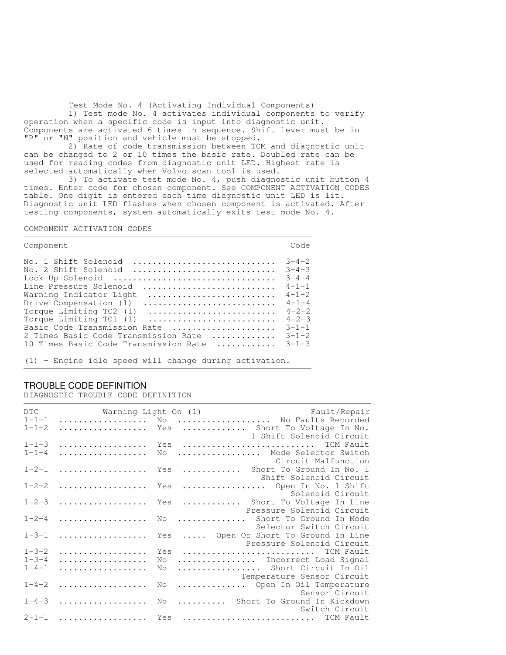Test Mode No. 4 (Activating Individual Components) 1) Test mode No. 4 activates individual components to verify operation when a specific code is input into diagnostic unit. Components are activated 6 times in sequence. Shift lever must be in "P" or "N" position and vehicle must be stopped.

 2) Rate of code transmission between TCM and diagnostic unit can be changed to 2 or 10 times the basic rate. Doubled rate can be used for reading codes from diagnostic unit LED. Highest rate is selected automatically when Volvo scan tool is used.

 3) To activate test mode No. 4, push diagnostic unit button 4 times. Enter code for chosen component. See COMPONENT ACTIVATION CODES table. One digit is entered each time diagnostic unit LED is lit. Diagnostic unit LED flashes when chosen component is activated. After testing components, system automatically exits test mode No. 4.

,我们就是一个人的,我们就是一个人的,我们就是一个人的,我们就是一个人的。""我们,我们就是一个人的。""我们,我们就是一个人的,我们就是一个人的,我们就是一个

,我们就是一个人的,我们就是一个人的,我们就是一个人的,我们就是一个人的。""我们,我们就是一个人的。""我们,我们就是一个人的,我们就是一个人的,我们就是一个

#### COMPONENT ACTIVATION CODES

Component Code No. 1 Shift Solenoid ............................. 3-4-2 No. 2 Shift Solenoid ............................. 3-4-3 Lock-Up Solenoid ................................. 3-4-4 Line Pressure Solenoid ............................. 4-1-1 Warning Indicator Light ........................... 4-1-2 Drive Compensation (1) .............................. 4-1-4 Torque Limiting TC2  $(1)$  .............................. 4-2-2 Torque Limiting TC1 (1) ........................... 4-2-3 Basic Code Transmission Rate ..................... 3-1-1 2 Times Basic Code Transmission Rate .............. 3-1-2<br>10 Times Basic Code Transmission Rate ............. 3-1-3 10 Times Basic Code Transmission Rate ............

(1) - Engine idle speed will change during activation.

#### TROUBLE CODE DEFINITION

DIAGNOSTIC TROUBLE CODE DEFINITION

| <b>DTC</b>  |   |     | Warning Light On (1) Fault/Repair    |
|-------------|---|-----|--------------------------------------|
| $1 - 1 - 1$ |   |     |                                      |
| $1 - 1 - 2$ |   |     | Yes  Short To Voltage In No.         |
|             |   |     | 1 Shift Solenoid Circuit             |
| $1 - 1 - 3$ | . |     | Yes<br>TCM Fault                     |
| $1 - 1 - 4$ | . |     | No  Mode Selector Switch             |
|             |   |     | Circuit Malfunction                  |
| $1 - 2 - 1$ |   |     | Yes  Short To Ground In No. 1        |
|             |   |     | Shift Solenoid Circuit               |
| $1 - 2 - 2$ |   |     |                                      |
|             |   |     | Solenoid Circuit                     |
| $1 - 2 - 3$ |   |     | Yes  Short To Voltage In Line        |
|             |   |     | Pressure Solenoid Circuit            |
| $1 - 2 - 4$ | . |     | No  Short To Ground In Mode          |
|             |   |     | Selector Switch Circuit              |
| $1 - 3 - 1$ |   |     | Yes  Open Or Short To Ground In Line |
|             |   |     | Pressure Solenoid Circuit            |
| $1 - 3 - 2$ | . | Yes | TCM Fault                            |
| $1 - 3 - 4$ | . | No  | Incorrect Load Signal                |
| $1 - 4 - 1$ | . | No  | Short Circuit In Oil                 |
|             |   |     | Temperature Sensor Circuit           |
| $1 - 4 - 2$ |   |     | No  Open In Oil Temperature          |
|             |   |     | Sensor Circuit                       |
| $1 - 4 - 3$ |   |     | No  Short To Ground In Kickdown      |
|             |   |     | Switch Circuit                       |
| $2 - 1 - 1$ |   |     |                                      |
|             |   |     |                                      |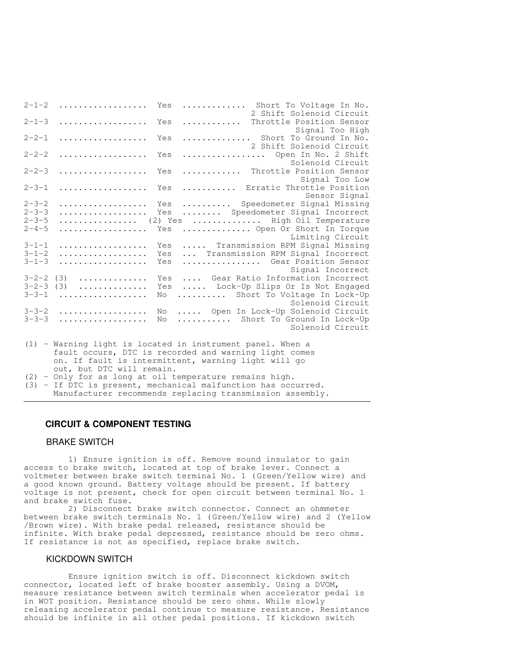| $2 - 1 - 2$<br>Yes<br>.<br>Short To Voltage In No.<br>2 Shift Solenoid Circuit                                                  |                                    |
|---------------------------------------------------------------------------------------------------------------------------------|------------------------------------|
| .<br>$2 - 1 - 3$<br>Yes<br>Throttle Position Sensor                                                                             |                                    |
| .<br>.<br>$2 - 2 - 1$<br>Short To Ground In No.<br>Yes                                                                          | Signal Too High                    |
| 2 Shift Solenoid Circuit<br>Yes<br>$2 - 2 - 2$<br>Open In No. 2 Shift                                                           |                                    |
| $2 - 2 - 3$<br>.<br>Throttle Position Sensor<br>Yes                                                                             | Solenoid Circuit<br>Signal Too Low |
| Erratic Throttle Position<br>.<br>$2 - 3 - 1$<br>Yes                                                                            | Sensor Signal                      |
| $2 - 3 - 2$<br>.<br>Yes  Speedometer Signal Missing<br>$2 - 3 - 3$<br>Yes  Speedometer Signal Incorrect<br>.                    |                                    |
| $2 - 3 - 5$<br>(2) Yes  High Oil Temperature<br>$2 - 4 - 5$<br>Yes  Open Or Short In Torque<br>.                                |                                    |
|                                                                                                                                 | Limiting Circuit                   |
| $3 - 1 - 1$<br>.<br>Transmission RPM Signal Missing<br>Yes<br>.<br>$3 - 1 - 2$<br>Transmission RPM Signal Incorrect<br>Yes<br>. |                                    |
| $3 - 1 - 3$<br>Gear Position Sensor<br>.<br>Yes                                                                                 | Signal Incorrect                   |
| $3-2-2$ (3)<br>Gear Ratio Information Incorrect<br>Yes<br>$3-2-3$ (3)<br>Yes  Lock-Up Slips Or Is Not Engaged                   |                                    |
| $3 - 3 - 1$<br>Short To Voltage In Lock-Up<br>.<br>No                                                                           | Solenoid Circuit                   |
| $3 - 3 - 2$<br>.<br>No  Open In Lock-Up Solenoid Circuit<br>$3 - 3 - 3$<br>Short To Ground In Lock-Up<br>.<br>No                | Solenoid Circuit                   |
|                                                                                                                                 |                                    |

(1) - Warning light is located in instrument panel. When a fault occurs, DTC is recorded and warning light comes on. If fault is intermittent, warning light will go out, but DTC will remain.

(2) - Only for as long at oil temperature remains high.

(3) - If DTC is present, mechanical malfunction has occurred. Manufacturer recommends replacing transmission assembly.

## **CIRCUIT & COMPONENT TESTING**

## BRAKE SWITCH

 1) Ensure ignition is off. Remove sound insulator to gain access to brake switch, located at top of brake lever. Connect a voltmeter between brake switch terminal No. 1 (Green/Yellow wire) and a good known ground. Battery voltage should be present. If battery voltage is not present, check for open circuit between terminal No. 1 and brake switch fuse.

 2) Disconnect brake switch connector. Connect an ohmmeter between brake switch terminals No. 1 (Green/Yellow wire) and 2 (Yellow /Brown wire). With brake pedal released, resistance should be infinite. With brake pedal depressed, resistance should be zero ohms. If resistance is not as specified, replace brake switch.

#### KICKDOWN SWITCH

 Ensure ignition switch is off. Disconnect kickdown switch connector, located left of brake booster assembly. Using a DVOM, measure resistance between switch terminals when accelerator pedal is in WOT position. Resistance should be zero ohms. While slowly releasing accelerator pedal continue to measure resistance. Resistance should be infinite in all other pedal positions. If kickdown switch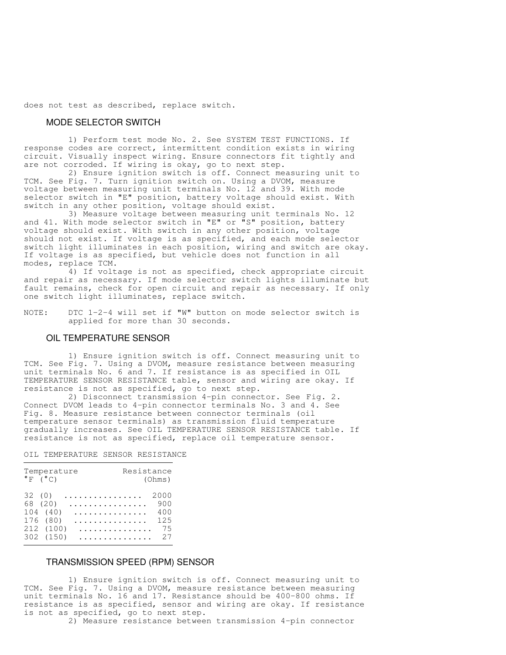does not test as described, replace switch.

#### MODE SELECTOR SWITCH

 1) Perform test mode No. 2. See SYSTEM TEST FUNCTIONS. If response codes are correct, intermittent condition exists in wiring circuit. Visually inspect wiring. Ensure connectors fit tightly and are not corroded. If wiring is okay, go to next step.

 2) Ensure ignition switch is off. Connect measuring unit to TCM. See Fig. 7. Turn ignition switch on. Using a DVOM, measure voltage between measuring unit terminals No. 12 and 39. With mode selector switch in "E" position, battery voltage should exist. With switch in any other position, voltage should exist.

 3) Measure voltage between measuring unit terminals No. 12 and 41. With mode selector switch in "E" or "S" position, battery voltage should exist. With switch in any other position, voltage should not exist. If voltage is as specified, and each mode selector switch light illuminates in each position, wiring and switch are okay. If voltage is as specified, but vehicle does not function in all modes, replace TCM.

 4) If voltage is not as specified, check appropriate circuit and repair as necessary. If mode selector switch lights illuminate but fault remains, check for open circuit and repair as necessary. If only one switch light illuminates, replace switch.

NOTE: DTC 1-2-4 will set if "W" button on mode selector switch is applied for more than 30 seconds.

#### OIL TEMPERATURE SENSOR

 1) Ensure ignition switch is off. Connect measuring unit to TCM. See Fig. 7. Using a DVOM, measure resistance between measuring unit terminals No. 6 and 7. If resistance is as specified in OIL TEMPERATURE SENSOR RESISTANCE table, sensor and wiring are okay. If resistance is not as specified, go to next step.

 2) Disconnect transmission 4-pin connector. See Fig. 2. Connect DVOM leads to 4-pin connector terminals No. 3 and 4. See Fig. 8. Measure resistance between connector terminals (oil temperature sensor terminals) as transmission fluid temperature gradually increases. See OIL TEMPERATURE SENSOR RESISTANCE table. If resistance is not as specified, replace oil temperature sensor.

#### OIL TEMPERATURE SENSOR RESISTANCE

| Temperature                                                                                                                   | Resistance                            |
|-------------------------------------------------------------------------------------------------------------------------------|---------------------------------------|
| $^{\circ}$ F ( $^{\circ}$ C)                                                                                                  | (Ohms)                                |
| 32(0)<br>. <b>.</b><br>68 (20)<br>. <b>.</b><br>104 (40)<br>.<br>176 (80)<br>.<br>212 (100)<br>.<br>302 (150)<br>. <b>.</b> . | 2000<br>900<br>400<br>125<br>75<br>27 |

#### TRANSMISSION SPEED (RPM) SENSOR

 1) Ensure ignition switch is off. Connect measuring unit to TCM. See Fig. 7. Using a DVOM, measure resistance between measuring unit terminals No. 16 and 17. Resistance should be 400-800 ohms. If resistance is as specified, sensor and wiring are okay. If resistance is not as specified, go to next step.

2) Measure resistance between transmission 4-pin connector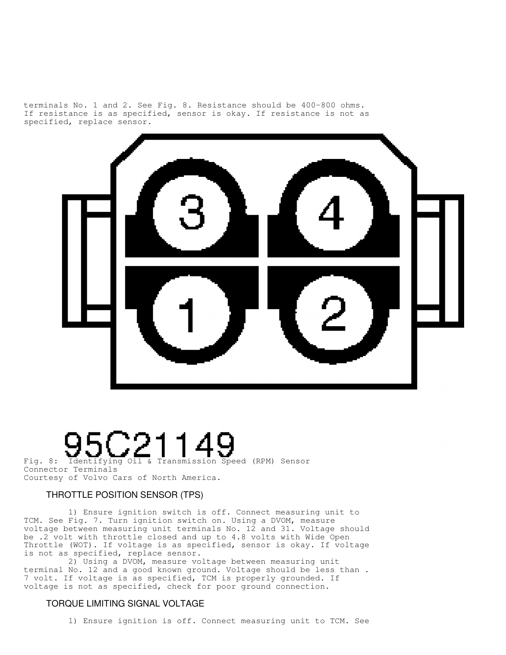terminals No. 1 and 2. See Fig. 8. Resistance should be 400-800 ohms. If resistance is as specified, sensor is okay. If resistance is not as specified, replace sensor.



Fig. 8: Identifying Oil & Transmission Speed (RPM) Sensor Connector Terminals Courtesy of Volvo Cars of North America.

# THROTTLE POSITION SENSOR (TPS)

 1) Ensure ignition switch is off. Connect measuring unit to TCM. See Fig. 7. Turn ignition switch on. Using a DVOM, measure voltage between measuring unit terminals No. 12 and 31. Voltage should be .2 volt with throttle closed and up to 4.8 volts with Wide Open Throttle (WOT). If voltage is as specified, sensor is okay. If voltage is not as specified, replace sensor.

 2) Using a DVOM, measure voltage between measuring unit terminal No. 12 and a good known ground. Voltage should be less than . 7 volt. If voltage is as specified, TCM is properly grounded. If voltage is not as specified, check for poor ground connection.

### TORQUE LIMITING SIGNAL VOLTAGE

1) Ensure ignition is off. Connect measuring unit to TCM. See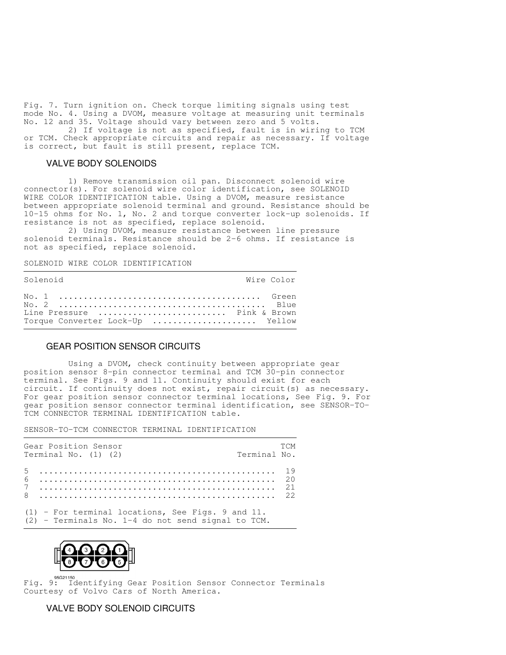Fig. 7. Turn ignition on. Check torque limiting signals using test mode No. 4. Using a DVOM, measure voltage at measuring unit terminals No. 12 and 35. Voltage should vary between zero and 5 volts.

 2) If voltage is not as specified, fault is in wiring to TCM or TCM. Check appropriate circuits and repair as necessary. If voltage is correct, but fault is still present, replace TCM.

## VALVE BODY SOLENOIDS

 1) Remove transmission oil pan. Disconnect solenoid wire connector(s). For solenoid wire color identification, see SOLENOID WIRE COLOR IDENTIFICATION table. Using a DVOM, measure resistance between appropriate solenoid terminal and ground. Resistance should be 10-15 ohms for No. 1, No. 2 and torque converter lock-up solenoids. If resistance is not as specified, replace solenoid.

 2) Using DVOM, measure resistance between line pressure solenoid terminals. Resistance should be 2-6 ohms. If resistance is not as specified, replace solenoid.

SOLENOID WIRE COLOR IDENTIFICATION

| Solenoid                                                                                                                                                                                                                                                                                                                                                                                 | Wire Color |
|------------------------------------------------------------------------------------------------------------------------------------------------------------------------------------------------------------------------------------------------------------------------------------------------------------------------------------------------------------------------------------------|------------|
| No. $2$ conserves and $\alpha$ are all $\alpha$ and $\alpha$ are $\alpha$ and $\alpha$ and $\alpha$ are $\alpha$ and $\alpha$ and $\alpha$ are $\alpha$ and $\alpha$ are $\alpha$ and $\alpha$ are $\alpha$ and $\alpha$ are $\alpha$ and $\alpha$ are $\alpha$ are $\alpha$ and $\alpha$ are $\alpha$ are $\alpha$ a<br>Line Pressure  Pink & Brown<br>Torque Converter Lock-Up  Yellow |            |

## GEAR POSITION SENSOR CIRCUITS

 Using a DVOM, check continuity between appropriate gear position sensor 8-pin connector terminal and TCM 30-pin connector terminal. See Figs. 9 and 11. Continuity should exist for each circuit. If continuity does not exist, repair circuit(s) as necessary. For gear position sensor connector terminal locations, See Fig. 9. For gear position sensor connector terminal identification, see SENSOR-TO-TCM CONNECTOR TERMINAL IDENTIFICATION table.

SENSOR-TO-TCM CONNECTOR TERMINAL IDENTIFICATION

| Gear Position Sensor<br>Terminal No.<br>Terminal No. $(1)$ $(2)$                                          | TCM |
|-----------------------------------------------------------------------------------------------------------|-----|
|                                                                                                           |     |
| $(1)$ - For terminal locations, See Figs. 9 and 11.<br>(2) - Terminals No. 1-4 do not send signal to TCM. |     |



Fig. 9: Identifying Gear Position Sensor Connector Terminals Courtesy of Volvo Cars of North America.

VALVE BODY SOLENOID CIRCUITS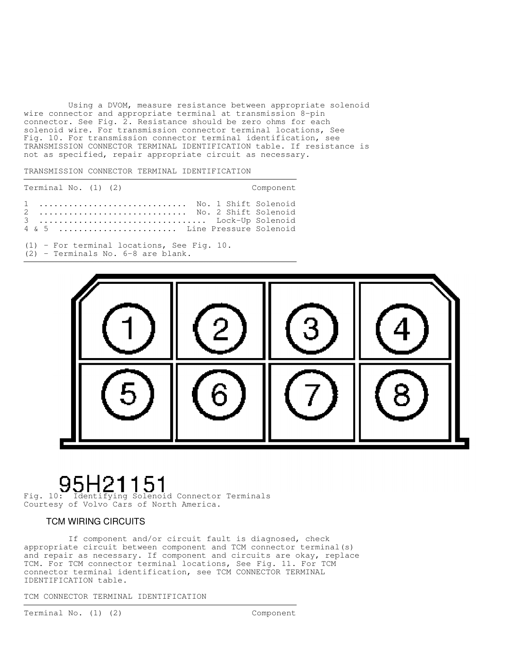Using a DVOM, measure resistance between appropriate solenoid wire connector and appropriate terminal at transmission 8-pin connector. See Fig. 2. Resistance should be zero ohms for each solenoid wire. For transmission connector terminal locations, See Fig. 10. For transmission connector terminal identification, see TRANSMISSION CONNECTOR TERMINAL IDENTIFICATION table. If resistance is not as specified, repair appropriate circuit as necessary.

TRANSMISSION CONNECTOR TERMINAL IDENTIFICATION

| Terminal No. $(1)$ $(2)$                                                                                   | Component |
|------------------------------------------------------------------------------------------------------------|-----------|
| 1  No. 1 Shift Solenoid<br>2  No. 2 Shift Solenoid<br>3  Lock-Up Solenoid<br>4 & 5  Line Pressure Solenoid |           |
| $(1)$ - For terminal locations, See Fig. 10.<br>(2) - Terminals No. 6-8 are blank.                         |           |



Fig. 10: Identifying Solenoid Connector Terminals Courtesy of Volvo Cars of North America.

# TCM WIRING CIRCUITS

 If component and/or circuit fault is diagnosed, check appropriate circuit between component and TCM connector terminal(s) and repair as necessary. If component and circuits are okay, replace TCM. For TCM connector terminal locations, See Fig. 11. For TCM connector terminal identification, see TCM CONNECTOR TERMINAL IDENTIFICATION table.

TCM CONNECTOR TERMINAL IDENTIFICATION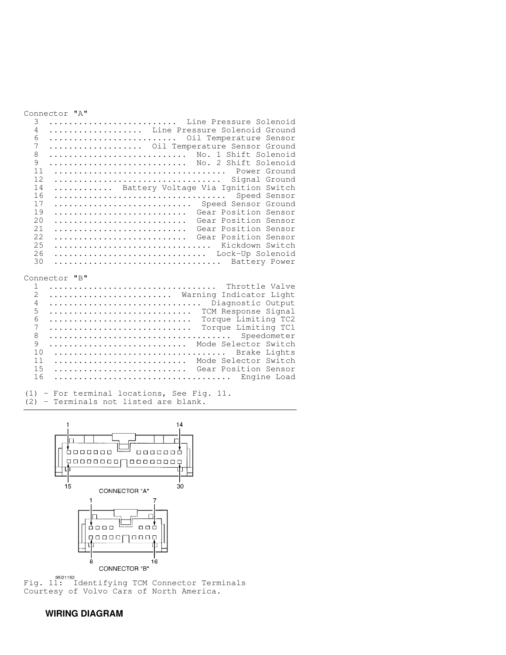Connector "A" 3 .......................... Line Pressure Solenoid 4 ...................... Line Pressure Solenoid Ground<br>6 ............................ Oil Temperature Sensor

| 6   | Oil Temperature Sensor              |  |
|-----|-------------------------------------|--|
|     | Oil Temperature Sensor Ground       |  |
| 8   | No. 1 Shift Solenoid                |  |
| 9   | No. 2 Shift Solenoid                |  |
| 11  | Power Ground                        |  |
| 12  | Signal Ground                       |  |
| 14  | Battery Voltage Via Ignition Switch |  |
| 16  | Speed Sensor                        |  |
| 17  | Speed Sensor Ground                 |  |
| 19  | Gear Position Sensor                |  |
| 2.0 | Gear Position Sensor                |  |
| 21  | Gear Position Sensor                |  |
| 22  | Gear Position Sensor                |  |
| 2.5 | Kickdown Switch                     |  |
| 26  | Lock-Up Solenoid                    |  |
| 30  | Battery Power                       |  |
|     |                                     |  |

Connector "B"

|     | Throttle Valve          |
|-----|-------------------------|
| 2   | Warning Indicator Light |
| 4   | Diagnostic Output       |
| .5  | TCM Response Signal     |
| 6   | Torque Limiting TC2     |
|     | Torque Limiting TC1     |
| 8   | Speedometer             |
| 9   | Mode Selector Switch    |
| 10  | Brake Lights            |
| 11  | Mode Selector Switch    |
| 1.5 | Gear Position Sensor    |
| 16  | Engine Load             |
|     |                         |

,我们就会不会不会。""我们,我们就会不会不会,我们就会不会不会,我们就会不会不会。""我们,我们就会不会不会。""我们,我们就会不会不会,我们就会不会不会。""

(1) - For terminal locations, See Fig. 11.

(2) - Terminals not listed are blank.



Fig. 11: Identifying TCM Connector Terminals Courtesy of Volvo Cars of North America.

# **WIRING DIAGRAM**